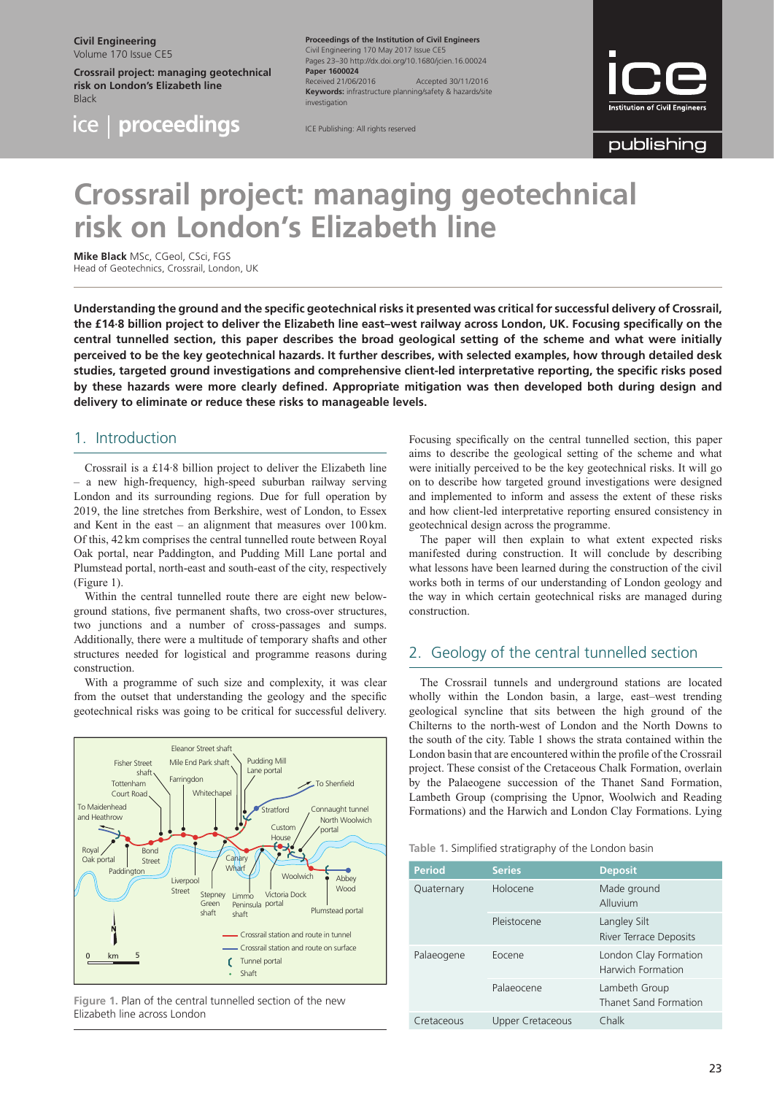**Civil Engineering** Volume 170 Issue CE5

ice.

**Crossrail project: managing geotechnical risk on London's Elizabeth line** Black

proceedings

**Proceedings of the Institution of Civil Engineers** Civil Engineering 170 May 2017 Issue CE5 Pages 23–30<http://dx.doi.org/10.1680/jcien.16.00024> **Paper 1600024** Received 21/06/2016 Accepted 30/11/2016 **Keywords:** infrastructure planning/safety & hazards/site investigation

publishing

# **Crossrail project: managing geotechnical risk on London's Elizabeth line**

ICE Publishing: All rights reserved

**Mike Black** MSc, CGeol, CSci, FGS Head of Geotechnics, Crossrail, London, UK

**Understanding the ground and the specific geotechnical risks it presented was critical for successful delivery of Crossrail, the £14·8 billion project to deliver the Elizabeth line east–west railway across London, UK. Focusing specifically on the central tunnelled section, this paper describes the broad geological setting of the scheme and what were initially perceived to be the key geotechnical hazards. It further describes, with selected examples, how through detailed desk studies, targeted ground investigations and comprehensive client-led interpretative reporting, the specific risks posed by these hazards were more clearly defined. Appropriate mitigation was then developed both during design and delivery to eliminate or reduce these risks to manageable levels.**

## 1. Introduction

Crossrail is a £14·8 billion project to deliver the Elizabeth line – a new high-frequency, high-speed suburban railway serving London and its surrounding regions. Due for full operation by 2019, the line stretches from Berkshire, west of London, to Essex and Kent in the east – an alignment that measures over 100 km. Of this, 42 km comprises the central tunnelled route between Royal Oak portal, near Paddington, and Pudding Mill Lane portal and Plumstead portal, north-east and south-east of the city, respectively (Figure 1).

Within the central tunnelled route there are eight new belowground stations, five permanent shafts, two cross-over structures, two junctions and a number of cross-passages and sumps. Additionally, there were a multitude of temporary shafts and other structures needed for logistical and programme reasons during construction.

With a programme of such size and complexity, it was clear from the outset that understanding the geology and the specific geotechnical risks was going to be critical for successful delivery.



**Figure 1.** Plan of the central tunnelled section of the new Elizabeth line across London

Focusing specifically on the central tunnelled section, this paper aims to describe the geological setting of the scheme and what were initially perceived to be the key geotechnical risks. It will go on to describe how targeted ground investigations were designed and implemented to inform and assess the extent of these risks and how client-led interpretative reporting ensured consistency in geotechnical design across the programme.

The paper will then explain to what extent expected risks manifested during construction. It will conclude by describing what lessons have been learned during the construction of the civil works both in terms of our understanding of London geology and the way in which certain geotechnical risks are managed during construction.

# 2. Geology of the central tunnelled section

The Crossrail tunnels and underground stations are located wholly within the London basin, a large, east–west trending geological syncline that sits between the high ground of the Chilterns to the north-west of London and the North Downs to the south of the city. Table 1 shows the strata contained within the London basin that are encountered within the profile of the Crossrail project. These consist of the Cretaceous Chalk Formation, overlain by the Palaeogene succession of the Thanet Sand Formation, Lambeth Group (comprising the Upnor, Woolwich and Reading Formations) and the Harwich and London Clay Formations. Lying

|  |  |  | Table 1. Simplified stratigraphy of the London basin |  |  |  |  |
|--|--|--|------------------------------------------------------|--|--|--|--|
|--|--|--|------------------------------------------------------|--|--|--|--|

| Period     | <b>Series</b>    | <b>Deposit</b>                                |
|------------|------------------|-----------------------------------------------|
| Quaternary | Holocene         | Made ground<br>Alluvium                       |
|            | Pleistocene      | Langley Silt<br><b>River Terrace Deposits</b> |
| Palaeogene | Eocene           | London Clay Formation<br>Harwich Formation    |
|            | Palaeocene       | Lambeth Group<br>Thanet Sand Formation        |
| Cretaceous | Upper Cretaceous | Chalk                                         |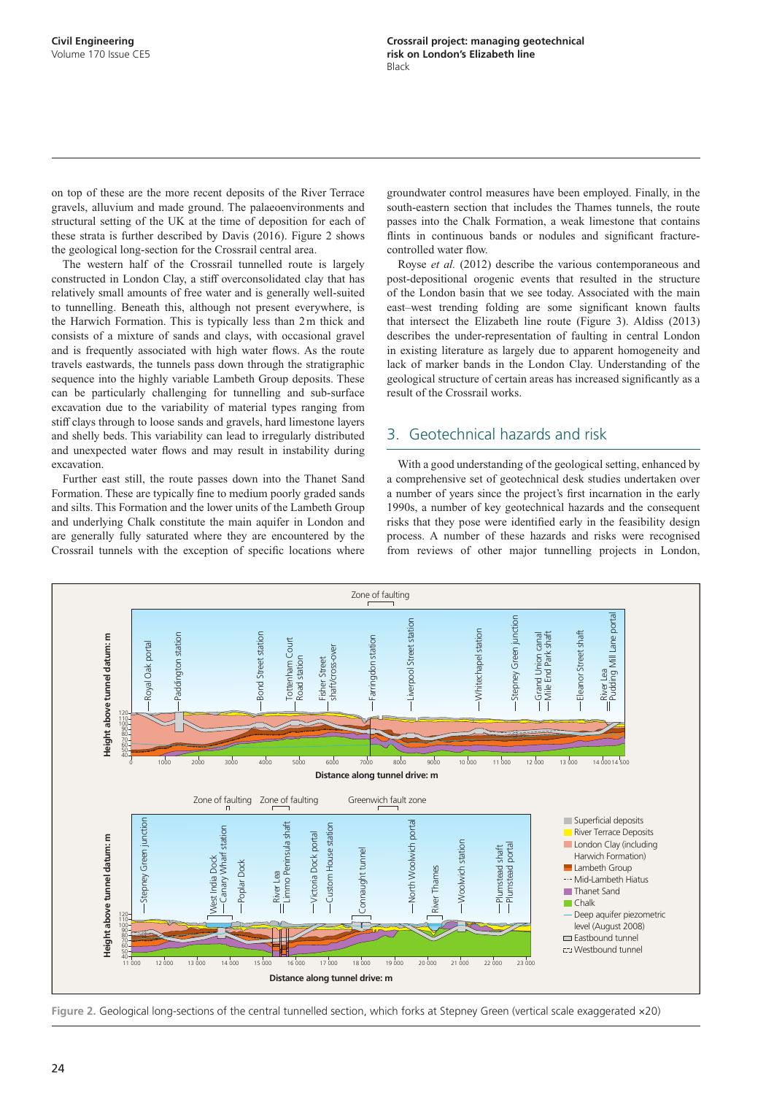on top of these are the more recent deposits of the River Terrace gravels, alluvium and made ground. The palaeoenvironments and structural setting of the UK at the time of deposition for each of these strata is further described by Davis (2016). Figure 2 shows the geological long-section for the Crossrail central area.

The western half of the Crossrail tunnelled route is largely constructed in London Clay, a stiff overconsolidated clay that has relatively small amounts of free water and is generally well-suited to tunnelling. Beneath this, although not present everywhere, is the Harwich Formation. This is typically less than 2m thick and consists of a mixture of sands and clays, with occasional gravel and is frequently associated with high water flows. As the route travels eastwards, the tunnels pass down through the stratigraphic sequence into the highly variable Lambeth Group deposits. These can be particularly challenging for tunnelling and sub-surface excavation due to the variability of material types ranging from stiff clays through to loose sands and gravels, hard limestone layers and shelly beds. This variability can lead to irregularly distributed and unexpected water flows and may result in instability during excavation.

Further east still, the route passes down into the Thanet Sand Formation. These are typically fine to medium poorly graded sands and silts. This Formation and the lower units of the Lambeth Group and underlying Chalk constitute the main aquifer in London and are generally fully saturated where they are encountered by the Crossrail tunnels with the exception of specific locations where

groundwater control measures have been employed. Finally, in the south-eastern section that includes the Thames tunnels, the route passes into the Chalk Formation, a weak limestone that contains flints in continuous bands or nodules and significant fracturecontrolled water flow.

Royse *et al.* (2012) describe the various contemporaneous and post-depositional orogenic events that resulted in the structure of the London basin that we see today. Associated with the main east–west trending folding are some significant known faults that intersect the Elizabeth line route (Figure 3). Aldiss (2013) describes the under-representation of faulting in central London in existing literature as largely due to apparent homogeneity and lack of marker bands in the London Clay. Understanding of the geological structure of certain areas has increased significantly as a result of the Crossrail works.

## 3. Geotechnical hazards and risk

With a good understanding of the geological setting, enhanced by a comprehensive set of geotechnical desk studies undertaken over a number of years since the project's first incarnation in the early 1990s, a number of key geotechnical hazards and the consequent risks that they pose were identified early in the feasibility design process. A number of these hazards and risks were recognised from reviews of other major tunnelling projects in London,



**Figure 2.** Geological long-sections of the central tunnelled section, which forks at Stepney Green (vertical scale exaggerated ×20)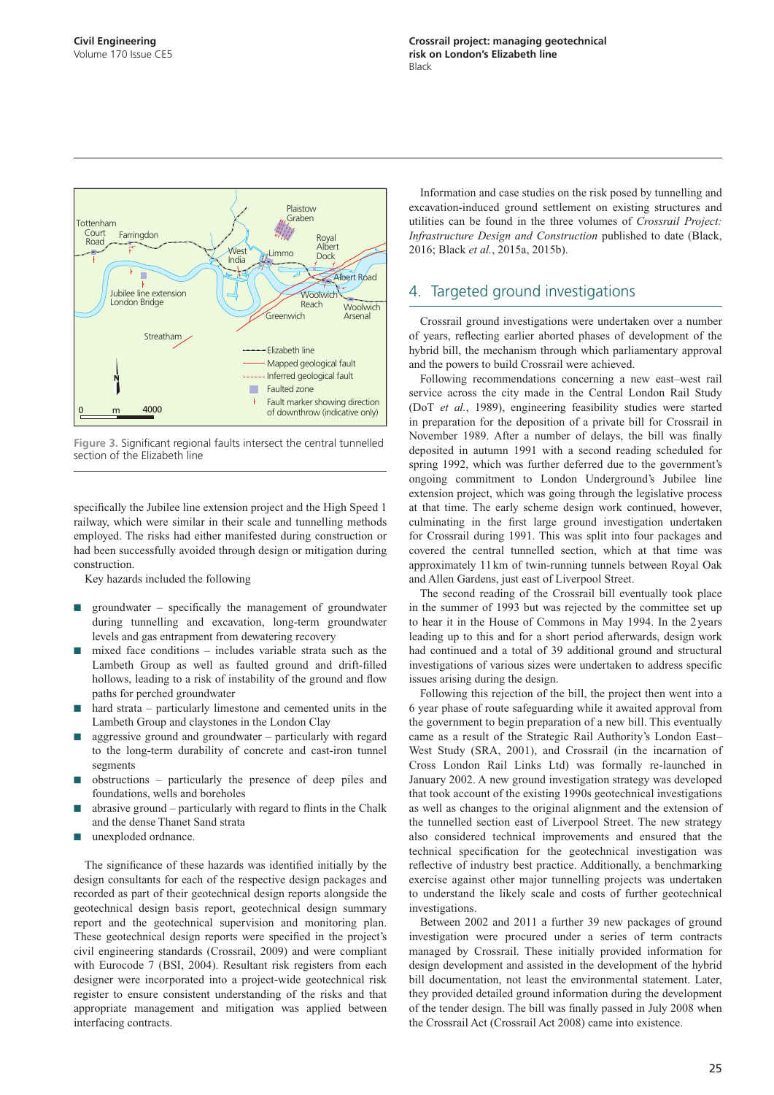

**Figure 3.** Significant regional faults intersect the central tunnelled section of the Elizabeth line

specifically the Jubilee line extension project and the High Speed 1 railway, which were similar in their scale and tunnelling methods employed. The risks had either manifested during construction or had been successfully avoided through design or mitigation during construction.

Key hazards included the following

- $\Box$  groundwater specifically the management of groundwater during tunnelling and excavation, long-term groundwater levels and gas entrapment from dewatering recovery
- $mixed$  face conditions includes variable strata such as the Lambeth Group as well as faulted ground and drift-filled hollows, leading to a risk of instability of the ground and flow paths for perched groundwater
- hard strata particularly limestone and cemented units in the Lambeth Group and claystones in the London Clay
- aggressive ground and groundwater  $-$  particularly with regard to the long-term durability of concrete and cast-iron tunnel segments
- $obstructions particularly the presence of deep piles and$ foundations, wells and boreholes
- abrasive ground particularly with regard to flints in the Chalk and the dense Thanet Sand strata
- unexploded ordnance.

The significance of these hazards was identified initially by the design consultants for each of the respective design packages and recorded as part of their geotechnical design reports alongside the geotechnical design basis report, geotechnical design summary report and the geotechnical supervision and monitoring plan. These geotechnical design reports were specified in the project's civil engineering standards (Crossrail, 2009) and were compliant with Eurocode 7 (BSI, 2004). Resultant risk registers from each designer were incorporated into a project-wide geotechnical risk register to ensure consistent understanding of the risks and that appropriate management and mitigation was applied between interfacing contracts.

Information and case studies on the risk posed by tunnelling and excavation-induced ground settlement on existing structures and utilities can be found in the three volumes of *Crossrail Project: Infrastructure Design and Construction* published to date (Black, 2016; Black *et al.*, 2015a, 2015b).

## 4. Targeted ground investigations

Crossrail ground investigations were undertaken over a number of years, reflecting earlier aborted phases of development of the hybrid bill, the mechanism through which parliamentary approval and the powers to build Crossrail were achieved.

Following recommendations concerning a new east–west rail service across the city made in the Central London Rail Study (DoT *et al.*, 1989), engineering feasibility studies were started in preparation for the deposition of a private bill for Crossrail in November 1989. After a number of delays, the bill was finally deposited in autumn 1991 with a second reading scheduled for spring 1992, which was further deferred due to the government's ongoing commitment to London Underground's Jubilee line extension project, which was going through the legislative process at that time. The early scheme design work continued, however, culminating in the first large ground investigation undertaken for Crossrail during 1991. This was split into four packages and covered the central tunnelled section, which at that time was approximately 11km of twin-running tunnels between Royal Oak and Allen Gardens, just east of Liverpool Street.

The second reading of the Crossrail bill eventually took place in the summer of 1993 but was rejected by the committee set up to hear it in the House of Commons in May 1994. In the 2 years leading up to this and for a short period afterwards, design work had continued and a total of 39 additional ground and structural investigations of various sizes were undertaken to address specific issues arising during the design.

Following this rejection of the bill, the project then went into a 6 year phase of route safeguarding while it awaited approval from the government to begin preparation of a new bill. This eventually came as a result of the Strategic Rail Authority's London East– West Study (SRA, 2001), and Crossrail (in the incarnation of Cross London Rail Links Ltd) was formally re-launched in January 2002. A new ground investigation strategy was developed that took account of the existing 1990s geotechnical investigations as well as changes to the original alignment and the extension of the tunnelled section east of Liverpool Street. The new strategy also considered technical improvements and ensured that the technical specification for the geotechnical investigation was reflective of industry best practice. Additionally, a benchmarking exercise against other major tunnelling projects was undertaken to understand the likely scale and costs of further geotechnical investigations.

Between 2002 and 2011 a further 39 new packages of ground investigation were procured under a series of term contracts managed by Crossrail. These initially provided information for design development and assisted in the development of the hybrid bill documentation, not least the environmental statement. Later, they provided detailed ground information during the development of the tender design. The bill was finally passed in July 2008 when the Crossrail Act (Crossrail Act 2008) came into existence.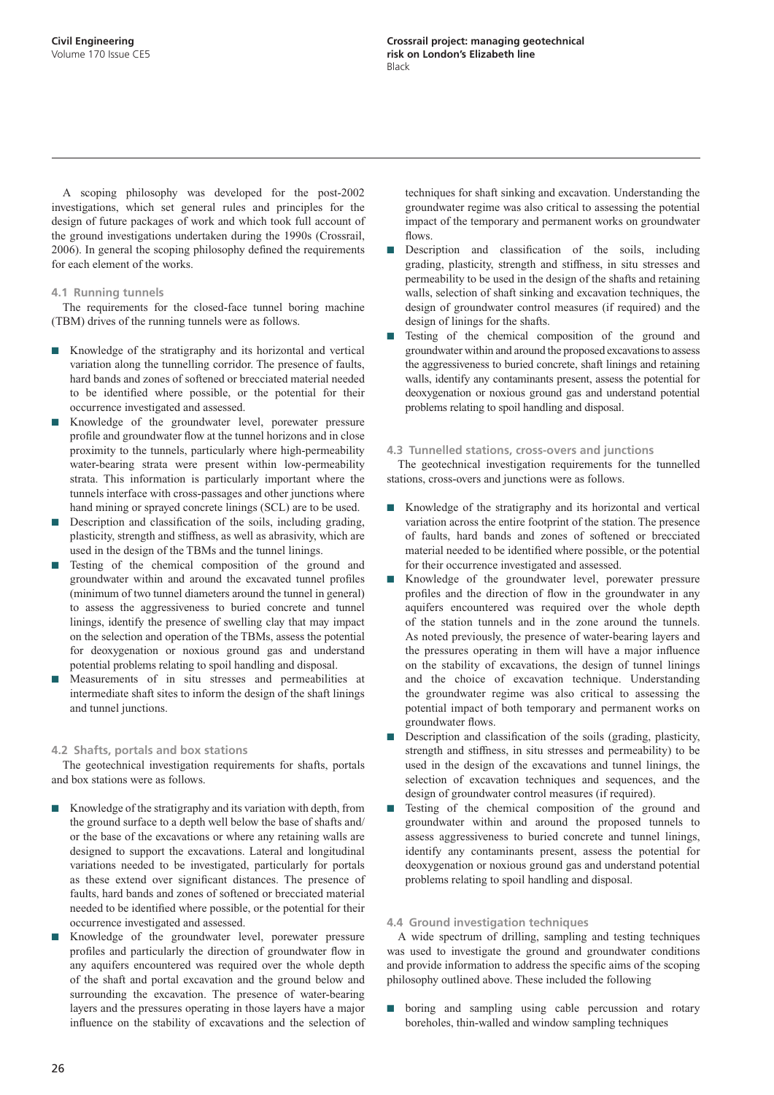A scoping philosophy was developed for the post-2002 investigations, which set general rules and principles for the design of future packages of work and which took full account of the ground investigations undertaken during the 1990s (Crossrail, 2006). In general the scoping philosophy defined the requirements for each element of the works.

#### **4.1 Running tunnels**

The requirements for the closed-face tunnel boring machine (TBM) drives of the running tunnels were as follows.

- Knowledge of the stratigraphy and its horizontal and vertical variation along the tunnelling corridor. The presence of faults, hard bands and zones of softened or brecciated material needed to be identified where possible, or the potential for their occurrence investigated and assessed.
- Knowledge of the groundwater level, porewater pressure profile and groundwater flow at the tunnel horizons and in close proximity to the tunnels, particularly where high-permeability water-bearing strata were present within low-permeability strata. This information is particularly important where the tunnels interface with cross-passages and other junctions where hand mining or sprayed concrete linings (SCL) are to be used.
- Description and classification of the soils, including grading, plasticity, strength and stiffness, as well as abrasivity, which are used in the design of the TBMs and the tunnel linings.
- Testing of the chemical composition of the ground and groundwater within and around the excavated tunnel profiles (minimum of two tunnel diameters around the tunnel in general) to assess the aggressiveness to buried concrete and tunnel linings, identify the presence of swelling clay that may impact on the selection and operation of the TBMs, assess the potential for deoxygenation or noxious ground gas and understand potential problems relating to spoil handling and disposal.
- Measurements of in situ stresses and permeabilities at intermediate shaft sites to inform the design of the shaft linings and tunnel junctions.

#### **4.2 Shafts, portals and box stations**

The geotechnical investigation requirements for shafts, portals and box stations were as follows.

- Knowledge of the stratigraphy and its variation with depth, from the ground surface to a depth well below the base of shafts and/ or the base of the excavations or where any retaining walls are designed to support the excavations. Lateral and longitudinal variations needed to be investigated, particularly for portals as these extend over significant distances. The presence of faults, hard bands and zones of softened or brecciated material needed to be identified where possible, or the potential for their occurrence investigated and assessed.
- Knowledge of the groundwater level, porewater pressure profiles and particularly the direction of groundwater flow in any aquifers encountered was required over the whole depth of the shaft and portal excavation and the ground below and surrounding the excavation. The presence of water-bearing layers and the pressures operating in those layers have a major influence on the stability of excavations and the selection of

techniques for shaft sinking and excavation. Understanding the groundwater regime was also critical to assessing the potential impact of the temporary and permanent works on groundwater flows.

- Description and classification of the soils, including grading, plasticity, strength and stiffness, in situ stresses and permeability to be used in the design of the shafts and retaining walls, selection of shaft sinking and excavation techniques, the design of groundwater control measures (if required) and the design of linings for the shafts.
- Testing of the chemical composition of the ground and groundwater within and around the proposed excavations to assess the aggressiveness to buried concrete, shaft linings and retaining walls, identify any contaminants present, assess the potential for deoxygenation or noxious ground gas and understand potential problems relating to spoil handling and disposal.

#### **4.3 Tunnelled stations, cross-overs and junctions**

The geotechnical investigation requirements for the tunnelled stations, cross-overs and junctions were as follows.

- Knowledge of the stratigraphy and its horizontal and vertical variation across the entire footprint of the station. The presence of faults, hard bands and zones of softened or brecciated material needed to be identified where possible, or the potential for their occurrence investigated and assessed.
- Knowledge of the groundwater level, porewater pressure profiles and the direction of flow in the groundwater in any aquifers encountered was required over the whole depth of the station tunnels and in the zone around the tunnels. As noted previously, the presence of water-bearing layers and the pressures operating in them will have a major influence on the stability of excavations, the design of tunnel linings and the choice of excavation technique. Understanding the groundwater regime was also critical to assessing the potential impact of both temporary and permanent works on groundwater flows.
- Description and classification of the soils (grading, plasticity, strength and stiffness, in situ stresses and permeability) to be used in the design of the excavations and tunnel linings, the selection of excavation techniques and sequences, and the design of groundwater control measures (if required).
- Testing of the chemical composition of the ground and groundwater within and around the proposed tunnels to assess aggressiveness to buried concrete and tunnel linings, identify any contaminants present, assess the potential for deoxygenation or noxious ground gas and understand potential problems relating to spoil handling and disposal.

#### **4.4 Ground investigation techniques**

A wide spectrum of drilling, sampling and testing techniques was used to investigate the ground and groundwater conditions and provide information to address the specific aims of the scoping philosophy outlined above. These included the following

boring and sampling using cable percussion and rotary boreholes, thin-walled and window sampling techniques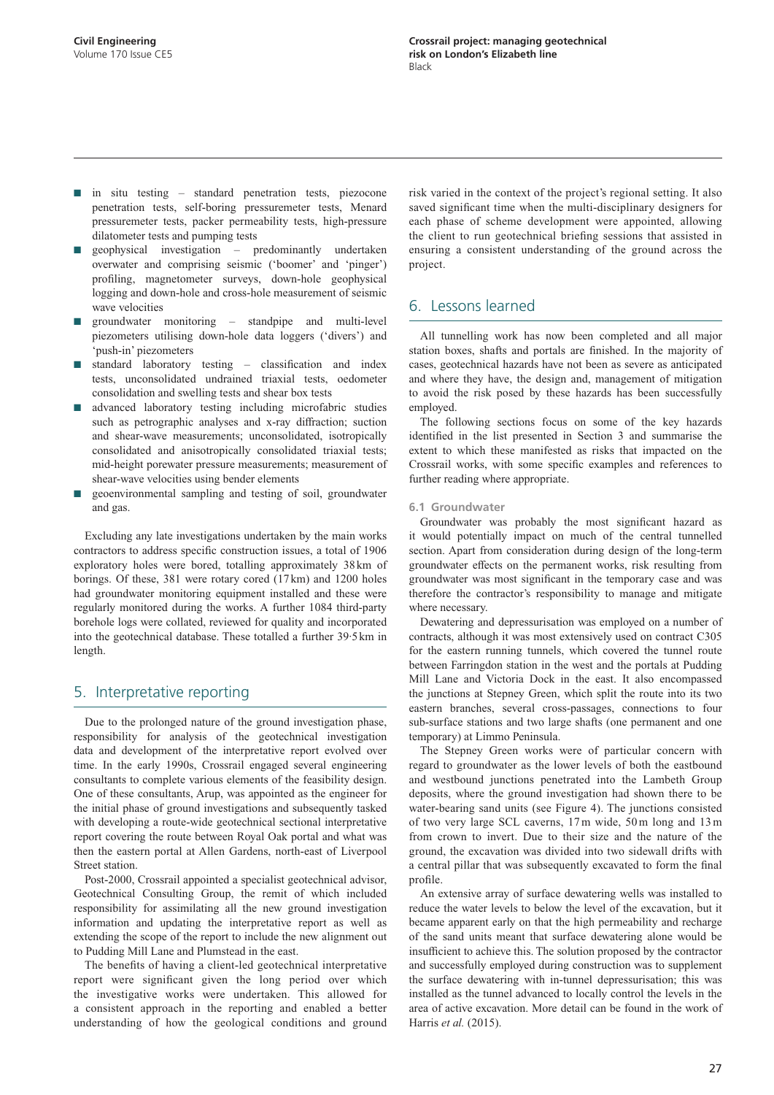- in situ testing standard penetration tests, piezocone penetration tests, self-boring pressuremeter tests, Menard pressuremeter tests, packer permeability tests, high-pressure dilatometer tests and pumping tests
- geophysical investigation predominantly undertaken overwater and comprising seismic ('boomer' and 'pinger') profiling, magnetometer surveys, down-hole geophysical logging and down-hole and cross-hole measurement of seismic wave velocities
- groundwater monitoring standpipe and multi-level piezometers utilising down-hole data loggers ('divers') and 'push-in' piezometers
- standard laboratory testing classification and index tests, unconsolidated undrained triaxial tests, oedometer consolidation and swelling tests and shear box tests
- advanced laboratory testing including microfabric studies such as petrographic analyses and x-ray diffraction; suction and shear-wave measurements; unconsolidated, isotropically consolidated and anisotropically consolidated triaxial tests; mid-height porewater pressure measurements; measurement of shear-wave velocities using bender elements
- geoenvironmental sampling and testing of soil, groundwater and gas.

Excluding any late investigations undertaken by the main works contractors to address specific construction issues, a total of 1906 exploratory holes were bored, totalling approximately 38 km of borings. Of these, 381 were rotary cored (17km) and 1200 holes had groundwater monitoring equipment installed and these were regularly monitored during the works. A further 1084 third-party borehole logs were collated, reviewed for quality and incorporated into the geotechnical database. These totalled a further 39·5 km in length.

## 5. Interpretative reporting

Due to the prolonged nature of the ground investigation phase, responsibility for analysis of the geotechnical investigation data and development of the interpretative report evolved over time. In the early 1990s, Crossrail engaged several engineering consultants to complete various elements of the feasibility design. One of these consultants, Arup, was appointed as the engineer for the initial phase of ground investigations and subsequently tasked with developing a route-wide geotechnical sectional interpretative report covering the route between Royal Oak portal and what was then the eastern portal at Allen Gardens, north-east of Liverpool Street station.

Post-2000, Crossrail appointed a specialist geotechnical advisor, Geotechnical Consulting Group, the remit of which included responsibility for assimilating all the new ground investigation information and updating the interpretative report as well as extending the scope of the report to include the new alignment out to Pudding Mill Lane and Plumstead in the east.

The benefits of having a client-led geotechnical interpretative report were significant given the long period over which the investigative works were undertaken. This allowed for a consistent approach in the reporting and enabled a better understanding of how the geological conditions and ground

risk varied in the context of the project's regional setting. It also saved significant time when the multi-disciplinary designers for each phase of scheme development were appointed, allowing the client to run geotechnical briefing sessions that assisted in ensuring a consistent understanding of the ground across the project.

## 6. Lessons learned

All tunnelling work has now been completed and all major station boxes, shafts and portals are finished. In the majority of cases, geotechnical hazards have not been as severe as anticipated and where they have, the design and, management of mitigation to avoid the risk posed by these hazards has been successfully employed.

The following sections focus on some of the key hazards identified in the list presented in Section 3 and summarise the extent to which these manifested as risks that impacted on the Crossrail works, with some specific examples and references to further reading where appropriate.

#### **6.1 Groundwater**

Groundwater was probably the most significant hazard as it would potentially impact on much of the central tunnelled section. Apart from consideration during design of the long-term groundwater effects on the permanent works, risk resulting from groundwater was most significant in the temporary case and was therefore the contractor's responsibility to manage and mitigate where necessary.

Dewatering and depressurisation was employed on a number of contracts, although it was most extensively used on contract C305 for the eastern running tunnels, which covered the tunnel route between Farringdon station in the west and the portals at Pudding Mill Lane and Victoria Dock in the east. It also encompassed the junctions at Stepney Green, which split the route into its two eastern branches, several cross-passages, connections to four sub-surface stations and two large shafts (one permanent and one temporary) at Limmo Peninsula.

The Stepney Green works were of particular concern with regard to groundwater as the lower levels of both the eastbound and westbound junctions penetrated into the Lambeth Group deposits, where the ground investigation had shown there to be water-bearing sand units (see Figure 4). The junctions consisted of two very large SCL caverns, 17m wide, 50m long and 13m from crown to invert. Due to their size and the nature of the ground, the excavation was divided into two sidewall drifts with a central pillar that was subsequently excavated to form the final profile.

An extensive array of surface dewatering wells was installed to reduce the water levels to below the level of the excavation, but it became apparent early on that the high permeability and recharge of the sand units meant that surface dewatering alone would be insufficient to achieve this. The solution proposed by the contractor and successfully employed during construction was to supplement the surface dewatering with in-tunnel depressurisation; this was installed as the tunnel advanced to locally control the levels in the area of active excavation. More detail can be found in the work of Harris *et al.* (2015).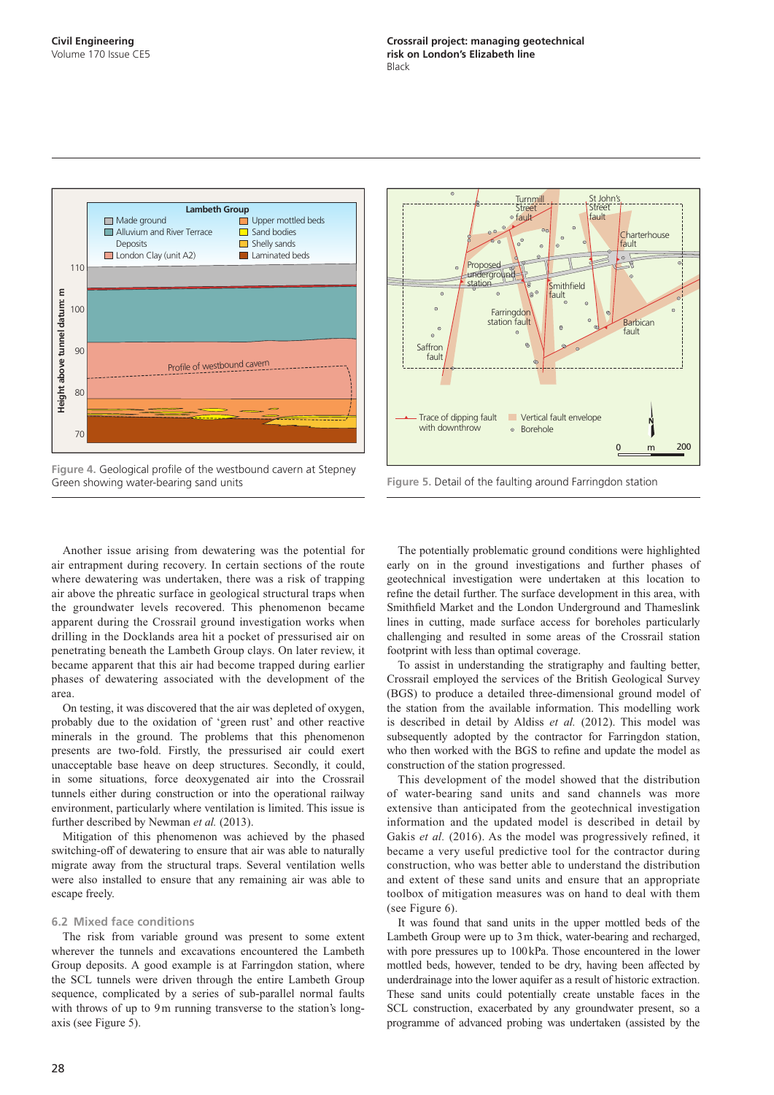

**Figure 4.** Geological profile of the westbound cavern at Stepney Green showing water-bearing sand units



**Figure 5.** Detail of the faulting around Farringdon station

Another issue arising from dewatering was the potential for air entrapment during recovery. In certain sections of the route where dewatering was undertaken, there was a risk of trapping air above the phreatic surface in geological structural traps when the groundwater levels recovered. This phenomenon became apparent during the Crossrail ground investigation works when drilling in the Docklands area hit a pocket of pressurised air on penetrating beneath the Lambeth Group clays. On later review, it became apparent that this air had become trapped during earlier phases of dewatering associated with the development of the area.

On testing, it was discovered that the air was depleted of oxygen, probably due to the oxidation of 'green rust' and other reactive minerals in the ground. The problems that this phenomenon presents are two-fold. Firstly, the pressurised air could exert unacceptable base heave on deep structures. Secondly, it could, in some situations, force deoxygenated air into the Crossrail tunnels either during construction or into the operational railway environment, particularly where ventilation is limited. This issue is further described by Newman *et al.* (2013).

Mitigation of this phenomenon was achieved by the phased switching-off of dewatering to ensure that air was able to naturally migrate away from the structural traps. Several ventilation wells were also installed to ensure that any remaining air was able to escape freely.

#### **6.2 Mixed face conditions**

The risk from variable ground was present to some extent wherever the tunnels and excavations encountered the Lambeth Group deposits. A good example is at Farringdon station, where the SCL tunnels were driven through the entire Lambeth Group sequence, complicated by a series of sub-parallel normal faults with throws of up to 9m running transverse to the station's longaxis (see Figure 5).

The potentially problematic ground conditions were highlighted early on in the ground investigations and further phases of geotechnical investigation were undertaken at this location to refine the detail further. The surface development in this area, with Smithfield Market and the London Underground and Thameslink lines in cutting, made surface access for boreholes particularly challenging and resulted in some areas of the Crossrail station footprint with less than optimal coverage.

To assist in understanding the stratigraphy and faulting better, Crossrail employed the services of the British Geological Survey (BGS) to produce a detailed three-dimensional ground model of the station from the available information. This modelling work is described in detail by Aldiss *et al.* (2012). This model was subsequently adopted by the contractor for Farringdon station, who then worked with the BGS to refine and update the model as construction of the station progressed.

This development of the model showed that the distribution of water-bearing sand units and sand channels was more extensive than anticipated from the geotechnical investigation information and the updated model is described in detail by Gakis *et al.* (2016). As the model was progressively refined, it became a very useful predictive tool for the contractor during construction, who was better able to understand the distribution and extent of these sand units and ensure that an appropriate toolbox of mitigation measures was on hand to deal with them (see Figure 6).

It was found that sand units in the upper mottled beds of the Lambeth Group were up to 3m thick, water-bearing and recharged, with pore pressures up to 100kPa. Those encountered in the lower mottled beds, however, tended to be dry, having been affected by underdrainage into the lower aquifer as a result of historic extraction. These sand units could potentially create unstable faces in the SCL construction, exacerbated by any groundwater present, so a programme of advanced probing was undertaken (assisted by the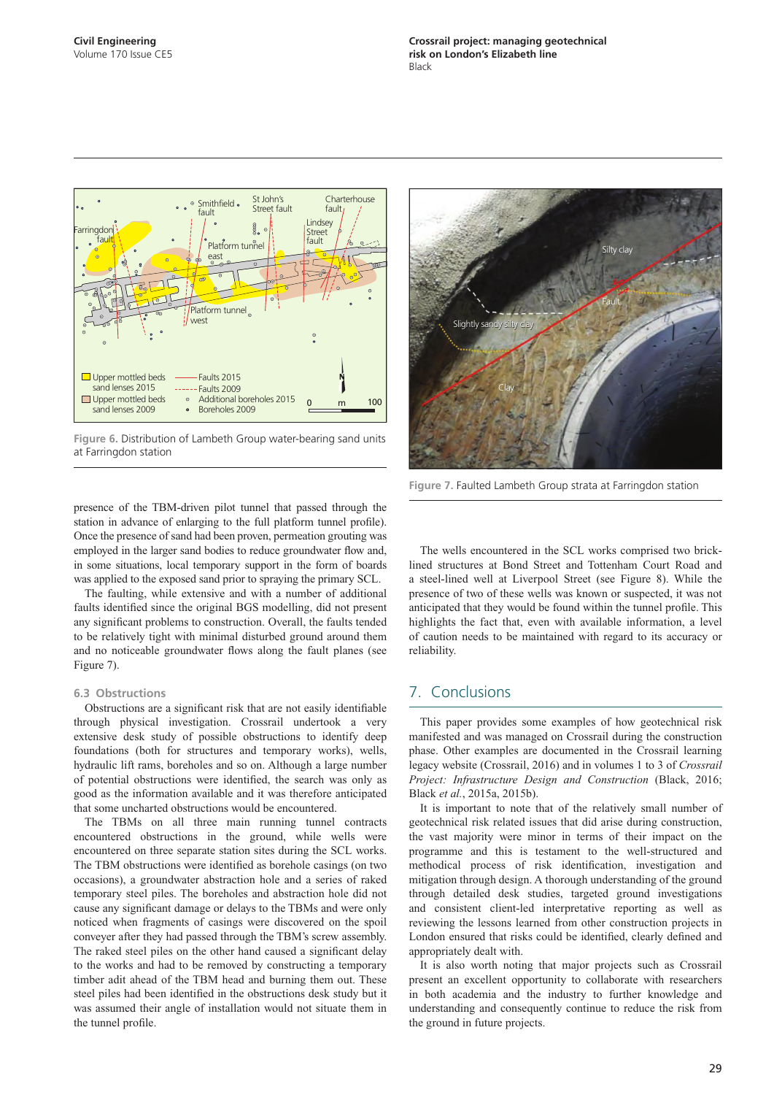

**Figure 6.** Distribution of Lambeth Group water-bearing sand units at Farringdon station



**Figure 7.** Faulted Lambeth Group strata at Farringdon station

presence of the TBM-driven pilot tunnel that passed through the station in advance of enlarging to the full platform tunnel profile). Once the presence of sand had been proven, permeation grouting was employed in the larger sand bodies to reduce groundwater flow and, in some situations, local temporary support in the form of boards was applied to the exposed sand prior to spraying the primary SCL.

The faulting, while extensive and with a number of additional faults identified since the original BGS modelling, did not present any significant problems to construction. Overall, the faults tended to be relatively tight with minimal disturbed ground around them and no noticeable groundwater flows along the fault planes (see Figure 7).

#### **6.3 Obstructions**

Obstructions are a significant risk that are not easily identifiable through physical investigation. Crossrail undertook a very extensive desk study of possible obstructions to identify deep foundations (both for structures and temporary works), wells, hydraulic lift rams, boreholes and so on. Although a large number of potential obstructions were identified, the search was only as good as the information available and it was therefore anticipated that some uncharted obstructions would be encountered.

The TBMs on all three main running tunnel contracts encountered obstructions in the ground, while wells were encountered on three separate station sites during the SCL works. The TBM obstructions were identified as borehole casings (on two occasions), a groundwater abstraction hole and a series of raked temporary steel piles. The boreholes and abstraction hole did not cause any significant damage or delays to the TBMs and were only noticed when fragments of casings were discovered on the spoil conveyer after they had passed through the TBM's screw assembly. The raked steel piles on the other hand caused a significant delay to the works and had to be removed by constructing a temporary timber adit ahead of the TBM head and burning them out. These steel piles had been identified in the obstructions desk study but it was assumed their angle of installation would not situate them in the tunnel profile.

The wells encountered in the SCL works comprised two bricklined structures at Bond Street and Tottenham Court Road and a steel-lined well at Liverpool Street (see Figure 8). While the presence of two of these wells was known or suspected, it was not anticipated that they would be found within the tunnel profile. This highlights the fact that, even with available information, a level of caution needs to be maintained with regard to its accuracy or reliability.

## 7. Conclusions

This paper provides some examples of how geotechnical risk manifested and was managed on Crossrail during the construction phase. Other examples are documented in the Crossrail learning legacy website (Crossrail, 2016) and in volumes 1 to 3 of *Crossrail Project: Infrastructure Design and Construction* (Black, 2016; Black *et al.*, 2015a, 2015b).

It is important to note that of the relatively small number of geotechnical risk related issues that did arise during construction, the vast majority were minor in terms of their impact on the programme and this is testament to the well-structured and methodical process of risk identification, investigation and mitigation through design. A thorough understanding of the ground through detailed desk studies, targeted ground investigations and consistent client-led interpretative reporting as well as reviewing the lessons learned from other construction projects in London ensured that risks could be identified, clearly defined and appropriately dealt with.

It is also worth noting that major projects such as Crossrail present an excellent opportunity to collaborate with researchers in both academia and the industry to further knowledge and understanding and consequently continue to reduce the risk from the ground in future projects.